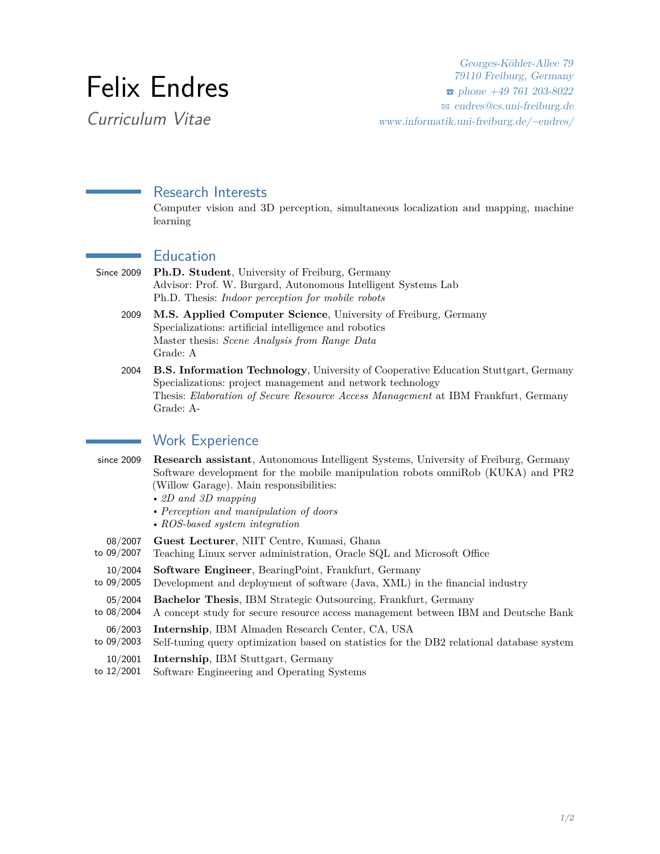# Felix Endres

Curriculum Vitae

Georges-Köhler-Allee 79 79110 Freiburg, Germany  $\epsilon$  phone +49 761 203-8022 B [endres@cs.uni-freiburg.de](mailto:endres@cs.uni-freiburg.de) [www.informatik.uni-freiburg.de/~endres/](http://www.informatik.uni-freiburg.de/~endres/)

# Research Interests

Computer vision and 3D perception, simultaneous localization and mapping, machine learning

### Education

- Since 2009 **Ph.D. Student**, University of Freiburg, Germany Advisor: Prof. W. Burgard, Autonomous Intelligent Systems Lab Ph.D. Thesis: *Indoor perception for mobile robots*
	- 2009 **M.S. Applied Computer Science**, University of Freiburg, Germany Specializations: artificial intelligence and robotics Master thesis: *Scene Analysis from Range Data* Grade: A
	- 2004 **B.S. Information Technology**, University of Cooperative Education Stuttgart, Germany Specializations: project management and network technology Thesis: *Elaboration of Secure Resource Access Management* at IBM Frankfurt, Germany Grade: A-

# Work Experience

since 2009 **Research assistant**, Autonomous Intelligent Systems, University of Freiburg, Germany Software development for the mobile manipulation robots omniRob (KUKA) and PR2 (Willow Garage). Main responsibilities:

- *2D and 3D mapping*
- *Perception and manipulation of doors*
- *ROS-based system integration*
- 08/2007 **Guest Lecturer**, NIIT Centre, Kumasi, Ghana
- to 09/2007 Teaching Linux server administration, Oracle SQL and Microsoft Office
- 10/2004 **Software Engineer**, BearingPoint, Frankfurt, Germany
- to 09/2005 Development and deployment of software (Java, XML) in the financial industry
- 05/2004 **Bachelor Thesis**, IBM Strategic Outsourcing, Frankfurt, Germany
- to 08/2004 A concept study for secure resource access management between IBM and Deutsche Bank
- 06/2003 **Internship**, IBM Almaden Research Center, CA, USA
- to 09/2003 Self-tuning query optimization based on statistics for the DB2 relational database system
- 10/2001 **Internship**, IBM Stuttgart, Germany
- to 12/2001 Software Engineering and Operating Systems